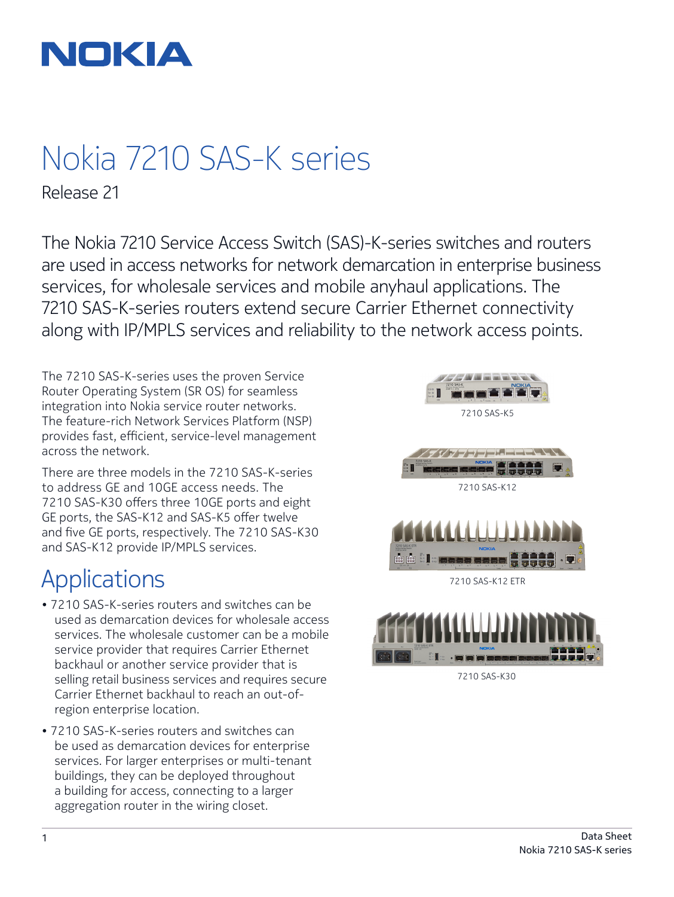

# Nokia 7210 SAS-K series

Release 21

The Nokia 7210 Service Access Switch (SAS)-K-series switches and routers are used in access networks for network demarcation in enterprise business services, for wholesale services and mobile anyhaul applications. The 7210 SAS-K-series routers extend secure Carrier Ethernet connectivity along with IP/MPLS services and reliability to the network access points.

The 7210 SAS-K-series uses the proven Service Router Operating System (SR OS) for seamless integration into Nokia service router networks. The feature-rich Network Services Platform (NSP) provides fast, efficient, service-level management across the network.

There are three models in the 7210 SAS-K-series to address GE and 10GE access needs. The 7210 SAS-K30 offers three 10GE ports and eight GE ports, the SAS-K12 and SAS-K5 offer twelve and five GE ports, respectively. The 7210 SAS-K30 and SAS-K12 provide IP/MPLS services.

# Applications

- 7210 SAS-K-series routers and switches can be used as demarcation devices for wholesale access services. The wholesale customer can be a mobile service provider that requires Carrier Ethernet backhaul or another service provider that is selling retail business services and requires secure Carrier Ethernet backhaul to reach an out-ofregion enterprise location.
- 7210 SAS-K-series routers and switches can be used as demarcation devices for enterprise services. For larger enterprises or multi-tenant buildings, they can be deployed throughout a building for access, connecting to a larger aggregation router in the wiring closet.



7210 SAS-K30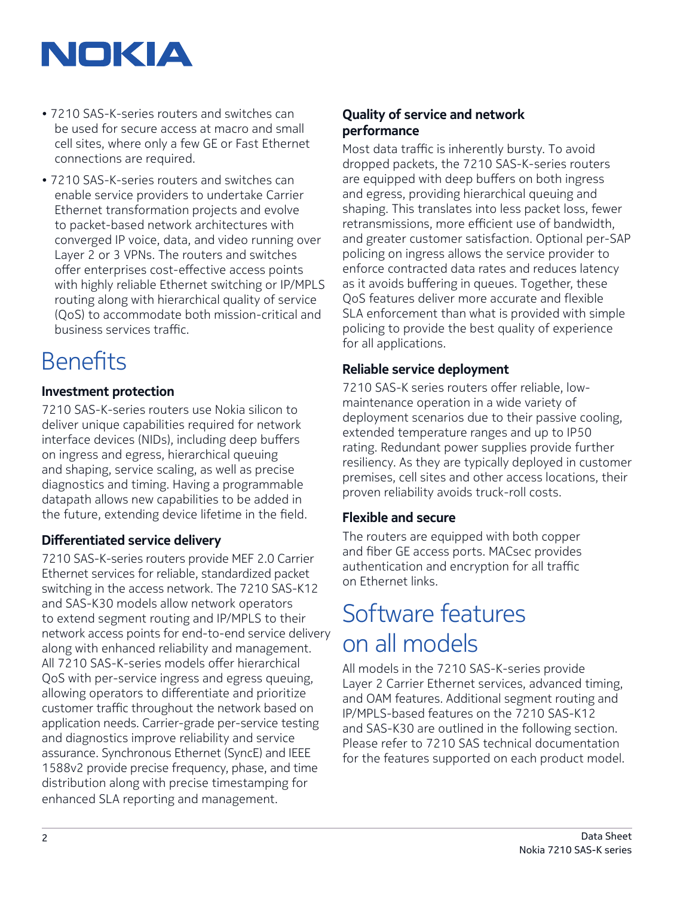

- 7210 SAS-K-series routers and switches can be used for secure access at macro and small cell sites, where only a few GE or Fast Ethernet connections are required.
- 7210 SAS-K-series routers and switches can enable service providers to undertake Carrier Ethernet transformation projects and evolve to packet-based network architectures with converged IP voice, data, and video running over Layer 2 or 3 VPNs. The routers and switches offer enterprises cost-effective access points with highly reliable Ethernet switching or IP/MPLS routing along with hierarchical quality of service (QoS) to accommodate both mission-critical and business services traffic.

# **Benefits**

## **Investment protection**

7210 SAS-K-series routers use Nokia silicon to deliver unique capabilities required for network interface devices (NIDs), including deep buffers on ingress and egress, hierarchical queuing and shaping, service scaling, as well as precise diagnostics and timing. Having a programmable datapath allows new capabilities to be added in the future, extending device lifetime in the field.

## **Differentiated service delivery**

7210 SAS-K-series routers provide MEF 2.0 Carrier Ethernet services for reliable, standardized packet switching in the access network. The 7210 SAS-K12 and SAS-K30 models allow network operators to extend segment routing and IP/MPLS to their network access points for end-to-end service delivery along with enhanced reliability and management. All 7210 SAS-K-series models offer hierarchical QoS with per-service ingress and egress queuing, allowing operators to differentiate and prioritize customer traffic throughout the network based on application needs. Carrier-grade per-service testing and diagnostics improve reliability and service assurance. Synchronous Ethernet (SyncE) and IEEE 1588v2 provide precise frequency, phase, and time distribution along with precise timestamping for enhanced SLA reporting and management.

## **Quality of service and network performance**

Most data traffic is inherently bursty. To avoid dropped packets, the 7210 SAS-K-series routers are equipped with deep buffers on both ingress and egress, providing hierarchical queuing and shaping. This translates into less packet loss, fewer retransmissions, more efficient use of bandwidth, and greater customer satisfaction. Optional per-SAP policing on ingress allows the service provider to enforce contracted data rates and reduces latency as it avoids buffering in queues. Together, these QoS features deliver more accurate and flexible SLA enforcement than what is provided with simple policing to provide the best quality of experience for all applications.

#### **Reliable service deployment**

7210 SAS-K series routers offer reliable, lowmaintenance operation in a wide variety of deployment scenarios due to their passive cooling, extended temperature ranges and up to IP50 rating. Redundant power supplies provide further resiliency. As they are typically deployed in customer premises, cell sites and other access locations, their proven reliability avoids truck-roll costs.

## **Flexible and secure**

The routers are equipped with both copper and fiber GE access ports. MACsec provides authentication and encryption for all traffic on Ethernet links.

# Software features on all models

All models in the 7210 SAS-K-series provide Layer 2 Carrier Ethernet services, advanced timing, and OAM features. Additional segment routing and IP/MPLS-based features on the 7210 SAS-K12 and SAS-K30 are outlined in the following section. Please refer to 7210 SAS technical documentation for the features supported on each product model.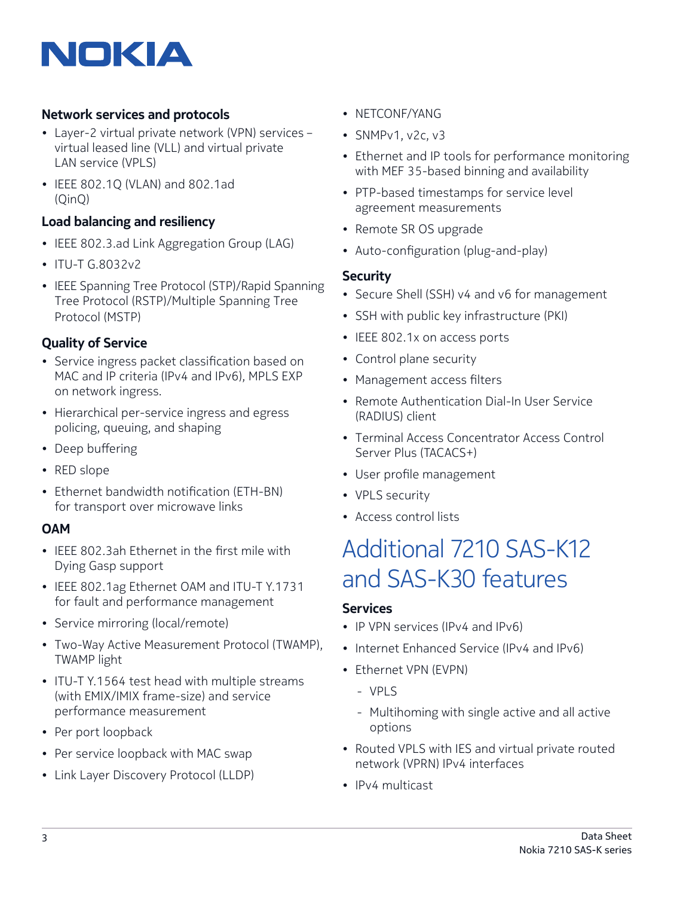# NOKIA

# **Network services and protocols**

- Layer-2 virtual private network (VPN) services virtual leased line (VLL) and virtual private LAN service (VPLS)
- IEEE 802.1Q (VLAN) and 802.1ad (QinQ)

## **Load balancing and resiliency**

- IEEE 802.3.ad Link Aggregation Group (LAG)
- ITU-T G.8032v2
- IEEE Spanning Tree Protocol (STP)/Rapid Spanning Tree Protocol (RSTP)/Multiple Spanning Tree Protocol (MSTP)

# **Quality of Service**

- Service ingress packet classification based on MAC and IP criteria (IPv4 and IPv6), MPLS EXP on network ingress.
- Hierarchical per-service ingress and egress policing, queuing, and shaping
- Deep buffering
- RED slope
- Ethernet bandwidth notification (ETH-BN) for transport over microwave links

## **OAM**

- IEEE 802.3ah Ethernet in the first mile with Dying Gasp support
- IEEE 802.1ag Ethernet OAM and ITU-T Y.1731 for fault and performance management
- Service mirroring (local/remote)
- Two-Way Active Measurement Protocol (TWAMP), TWAMP light
- ITU-T Y.1564 test head with multiple streams (with EMIX/IMIX frame-size) and service performance measurement
- Per port loopback
- Per service loopback with MAC swap
- Link Layer Discovery Protocol (LLDP)
- NETCONF/YANG
- SNMPv1, v2c, v3
- Ethernet and IP tools for performance monitoring with MEF 35-based binning and availability
- PTP-based timestamps for service level agreement measurements
- Remote SR OS upgrade
- Auto-configuration (plug-and-play)

#### **Security**

- Secure Shell (SSH) v4 and v6 for management
- SSH with public key infrastructure (PKI)
- IEEE 802.1x on access ports
- Control plane security
- Management access filters
- Remote Authentication Dial-In User Service (RADIUS) client
- Terminal Access Concentrator Access Control Server Plus (TACACS+)
- User profile management
- VPLS security
- Access control lists

# Additional 7210 SAS-K12 and SAS-K30 features

#### **Services**

- IP VPN services (IPv4 and IPv6)
- Internet Enhanced Service (IPv4 and IPv6)
- Ethernet VPN (EVPN)
	- VPLS
	- Multihoming with single active and all active options
- Routed VPLS with IES and virtual private routed network (VPRN) IPv4 interfaces
- IPv4 multicast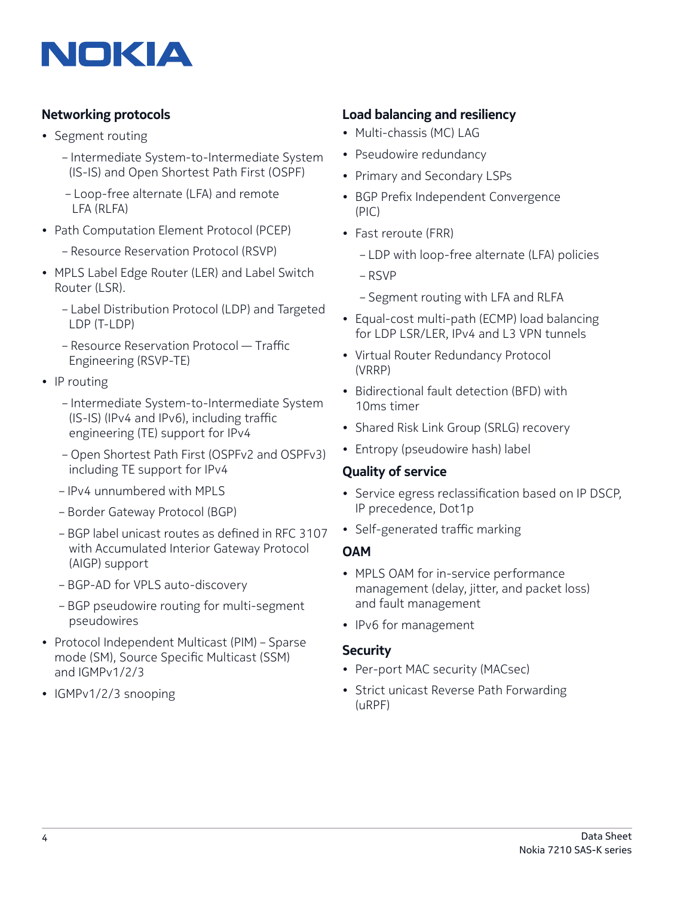

## **Networking protocols**

- Segment routing
	- Intermediate System-to-Intermediate System (IS-IS) and Open Shortest Path First (OSPF)
	- Loop-free alternate (LFA) and remote LFA (RLFA)
- Path Computation Element Protocol (PCEP)
	- Resource Reservation Protocol (RSVP)
- MPLS Label Edge Router (LER) and Label Switch Router (LSR).
	- Label Distribution Protocol (LDP) and Targeted LDP (T-LDP)
	- Resource Reservation Protocol Traffic Engineering (RSVP-TE)
- IP routing
	- Intermediate System-to-Intermediate System (IS-IS) (IPv4 and IPv6), including traffic engineering (TE) support for IPv4
	- Open Shortest Path First (OSPFv2 and OSPFv3) including TE support for IPv4
	- IPv4 unnumbered with MPLS
	- Border Gateway Protocol (BGP)
	- BGP label unicast routes as defined in RFC 3107 with Accumulated Interior Gateway Protocol (AIGP) support
	- BGP-AD for VPLS auto-discovery
	- BGP pseudowire routing for multi-segment pseudowires
- Protocol Independent Multicast (PIM) Sparse mode (SM), Source Specific Multicast (SSM) and IGMPv1/2/3
- IGMPv1/2/3 snooping

## **Load balancing and resiliency**

- Multi-chassis (MC) LAG
- Pseudowire redundancy
- Primary and Secondary LSPs
- BGP Prefix Independent Convergence (PIC)
- Fast reroute (FRR)
	- LDP with loop-free alternate (LFA) policies
	- RSVP
	- Segment routing with LFA and RLFA
- Equal-cost multi-path (ECMP) load balancing for LDP LSR/LER, IPv4 and L3 VPN tunnels
- Virtual Router Redundancy Protocol (VRRP)
- Bidirectional fault detection (BFD) with 10ms timer
- Shared Risk Link Group (SRLG) recovery
- Entropy (pseudowire hash) label

#### **Quality of service**

- Service egress reclassification based on IP DSCP, IP precedence, Dot1p
- Self-generated traffic marking

#### **OAM**

- MPLS OAM for in-service performance management (delay, jitter, and packet loss) and fault management
- IPv6 for management

#### **Security**

- Per-port MAC security (MACsec)
- Strict unicast Reverse Path Forwarding (uRPF)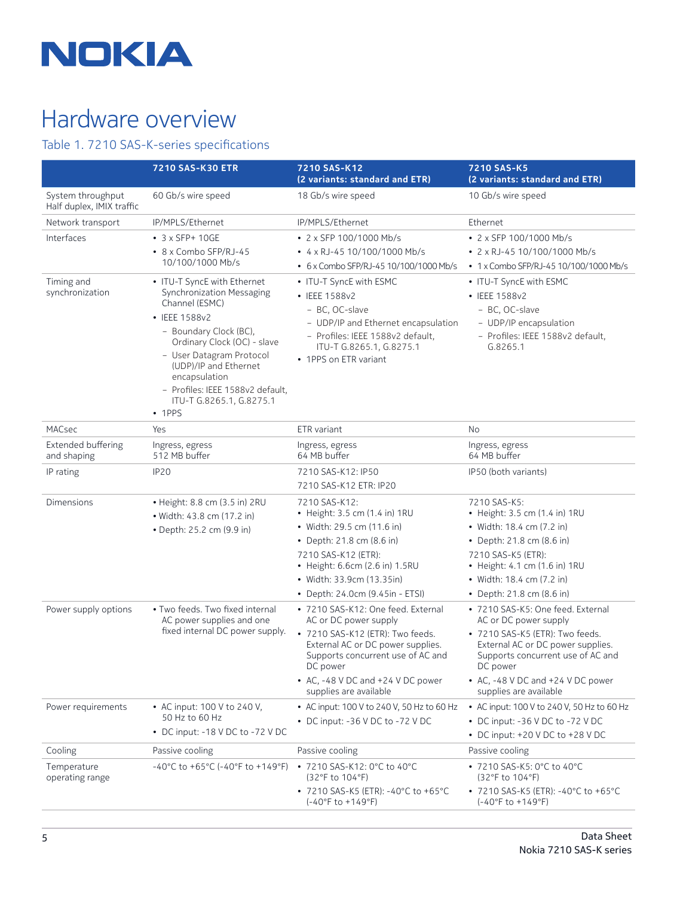

# Hardware overview

# Table 1. 7210 SAS-K-series specifications

|                                                | <b>7210 SAS-K30 ETR</b>                                                                                                                                                                                                                                                                                    | 7210 SAS-K12<br>(2 variants: standard and ETR)                                                                                                                                             | 7210 SAS-K5<br>(2 variants: standard and ETR)                                                                                        |
|------------------------------------------------|------------------------------------------------------------------------------------------------------------------------------------------------------------------------------------------------------------------------------------------------------------------------------------------------------------|--------------------------------------------------------------------------------------------------------------------------------------------------------------------------------------------|--------------------------------------------------------------------------------------------------------------------------------------|
| System throughput<br>Half duplex, IMIX traffic | 60 Gb/s wire speed                                                                                                                                                                                                                                                                                         | 18 Gb/s wire speed                                                                                                                                                                         | 10 Gb/s wire speed                                                                                                                   |
| Network transport                              | IP/MPLS/Ethernet                                                                                                                                                                                                                                                                                           | IP/MPLS/Ethernet                                                                                                                                                                           | Ethernet                                                                                                                             |
| Interfaces                                     | $\bullet$ 3 x SFP+ 10GE                                                                                                                                                                                                                                                                                    | • 2 x SFP 100/1000 Mb/s                                                                                                                                                                    | • 2 x SFP 100/1000 Mb/s                                                                                                              |
|                                                | • 8 x Combo SFP/RJ-45<br>10/100/1000 Mb/s                                                                                                                                                                                                                                                                  | $\cdot$ 4 x RJ-45 10/100/1000 Mb/s<br>• 6 x Combo SFP/RJ-45 10/100/1000 Mb/s                                                                                                               | • 2 x RJ-45 10/100/1000 Mb/s<br>• 1 x Combo SFP/RJ-45 10/100/1000 Mb/s                                                               |
| Timing and<br>synchronization                  | • ITU-T SyncE with Ethernet<br>Synchronization Messaging<br>Channel (ESMC)<br>• IEEE 1588v2<br>- Boundary Clock (BC),<br>Ordinary Clock (OC) - slave<br>- User Datagram Protocol<br>(UDP)/IP and Ethernet<br>encapsulation<br>- Profiles: IEEE 1588v2 default,<br>ITU-T G.8265.1, G.8275.1<br>$\cdot$ 1PPS | • ITU-T SyncE with ESMC<br>• IEEE 1588v2<br>- BC, OC-slave<br>- UDP/IP and Ethernet encapsulation<br>- Profiles: IEEE 1588v2 default,<br>ITU-T G.8265.1, G.8275.1<br>• 1PPS on ETR variant | • ITU-T SyncE with ESMC<br>• IEEE 1588v2<br>- BC, OC-slave<br>- UDP/IP encapsulation<br>- Profiles: IEEE 1588v2 default,<br>G.8265.1 |
|                                                |                                                                                                                                                                                                                                                                                                            |                                                                                                                                                                                            |                                                                                                                                      |
| Extended buffering<br>and shaping              | Ingress, egress<br>512 MB buffer                                                                                                                                                                                                                                                                           | Ingress, egress<br>64 MB buffer                                                                                                                                                            | Ingress, egress<br>64 MB buffer                                                                                                      |
| IP rating                                      | IP <sub>20</sub>                                                                                                                                                                                                                                                                                           | 7210 SAS-K12: IP50<br>7210 SAS-K12 ETR: IP20                                                                                                                                               | IP50 (both variants)                                                                                                                 |
| Dimensions                                     | • Height: 8.8 cm (3.5 in) 2RU<br>• Width: 43.8 cm (17.2 in)                                                                                                                                                                                                                                                | 7210 SAS-K12:<br>• Height: 3.5 cm (1.4 in) 1RU                                                                                                                                             | 7210 SAS-K5:<br>• Height: 3.5 cm (1.4 in) 1RU                                                                                        |
|                                                | • Depth: 25.2 cm (9.9 in)                                                                                                                                                                                                                                                                                  | • Width: 29.5 cm (11.6 in)                                                                                                                                                                 | • Width: 18.4 cm (7.2 in)                                                                                                            |
|                                                |                                                                                                                                                                                                                                                                                                            | • Depth: 21.8 cm (8.6 in)                                                                                                                                                                  | • Depth: 21.8 cm (8.6 in)                                                                                                            |
|                                                |                                                                                                                                                                                                                                                                                                            | 7210 SAS-K12 (ETR):<br>• Height: 6.6cm (2.6 in) 1.5RU                                                                                                                                      | 7210 SAS-K5 (ETR):<br>• Height: 4.1 cm (1.6 in) 1RU                                                                                  |
|                                                |                                                                                                                                                                                                                                                                                                            | • Width: 33.9cm (13.35in)                                                                                                                                                                  | • Width: 18.4 cm (7.2 in)                                                                                                            |
|                                                |                                                                                                                                                                                                                                                                                                            | • Depth: 24.0cm (9.45in - ETSI)                                                                                                                                                            | • Depth: 21.8 cm (8.6 in)                                                                                                            |
| Power supply options                           | . Two feeds. Two fixed internal<br>AC power supplies and one<br>fixed internal DC power supply.                                                                                                                                                                                                            | • 7210 SAS-K12: One feed. External<br>AC or DC power supply                                                                                                                                | • 7210 SAS-K5: One feed. External<br>AC or DC power supply                                                                           |
|                                                |                                                                                                                                                                                                                                                                                                            | • 7210 SAS-K12 (ETR): Two feeds.<br>External AC or DC power supplies.<br>Supports concurrent use of AC and<br>DC power                                                                     | • 7210 SAS-K5 (ETR): Two feeds.<br>External AC or DC power supplies.<br>Supports concurrent use of AC and<br>DC power                |
|                                                |                                                                                                                                                                                                                                                                                                            | • AC, -48 V DC and +24 V DC power<br>supplies are available                                                                                                                                | • AC, -48 V DC and +24 V DC power<br>supplies are available                                                                          |
| Power requirements                             | • AC input: 100 V to 240 V,<br>50 Hz to 60 Hz                                                                                                                                                                                                                                                              | • AC input: 100 V to 240 V, 50 Hz to 60 Hz                                                                                                                                                 | • AC input: 100 V to 240 V, 50 Hz to 60 Hz                                                                                           |
|                                                |                                                                                                                                                                                                                                                                                                            | • DC input: -36 V DC to -72 V DC                                                                                                                                                           | • DC input: -36 V DC to -72 V DC                                                                                                     |
|                                                | • DC input: -18 V DC to -72 V DC                                                                                                                                                                                                                                                                           |                                                                                                                                                                                            | • DC input: +20 V DC to +28 V DC                                                                                                     |
| Cooling                                        | Passive cooling                                                                                                                                                                                                                                                                                            | Passive cooling                                                                                                                                                                            | Passive cooling                                                                                                                      |
| Temperature<br>operating range                 | -40°C to +65°C (-40°F to +149°F)                                                                                                                                                                                                                                                                           | • 7210 SAS-K12: 0°C to 40°C<br>(32°F to 104°F)                                                                                                                                             | • 7210 SAS-K5: 0°C to 40°C<br>(32°F to 104°F)                                                                                        |
|                                                |                                                                                                                                                                                                                                                                                                            | • 7210 SAS-K5 (ETR): -40°C to +65°C<br>$(-40^{\circ}$ F to $+149^{\circ}$ F)                                                                                                               | • 7210 SAS-K5 (ETR): -40°C to +65°C<br>$(-40°F to +149°F)$                                                                           |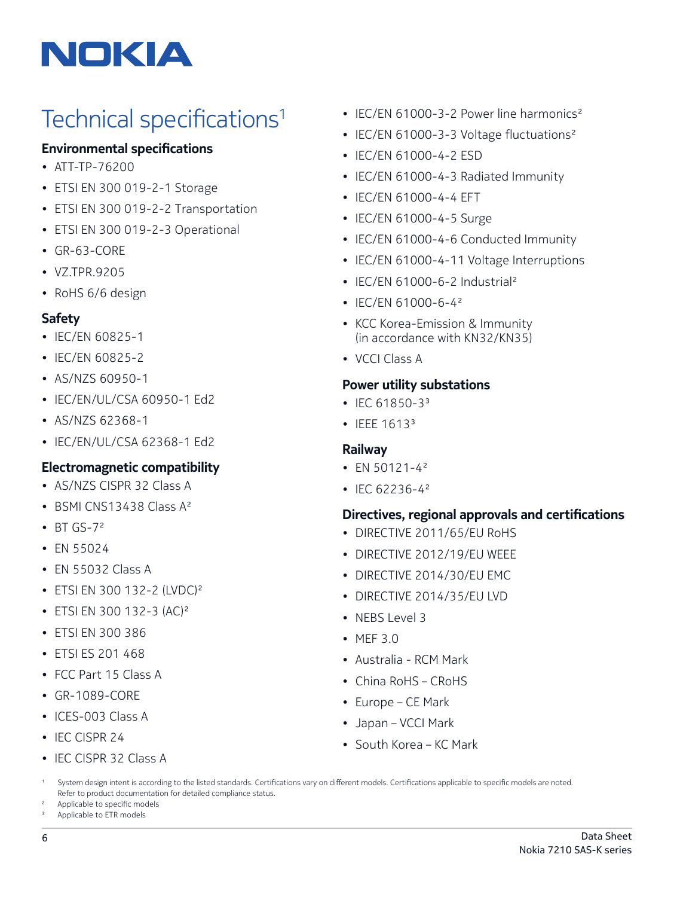

# Technical specifications<sup>1</sup>

### **Environmental specifications**

- ATT-TP-76200
- ETSI EN 300 019-2-1 Storage
- ETSI EN 300 019-2-2 Transportation
- ETSI EN 300 019-2-3 Operational
- GR-63-CORE
- VZ.TPR.9205
- RoHS 6/6 design

#### **Safety**

- IEC/EN 60825-1
- IEC/EN 60825-2
- AS/NZS 60950-1
- IEC/EN/UL/CSA 60950-1 Ed2
- AS/NZS 62368-1
- IEC/EN/UL/CSA 62368-1 Ed2

#### **Electromagnetic compatibility**

- AS/NZS CISPR 32 Class A
- BSMI CNS13438 Class A<sup>2</sup>
- $\cdot$  BT GS-7<sup>2</sup>
- EN 55024
- EN 55032 Class A
- ETSI EN 300 132-2 (LVDC)2
- ETSI EN 300 132-3 (AC)2
- ETSI EN 300 386
- ETSI ES 201 468
- FCC Part 15 Class A
- GR-1089-CORE
- ICES-003 Class A
- IFC CISPR 24
- IEC CISPR 32 Class A
- IEC/EN 61000-3-2 Power line harmonics<sup>2</sup>
- IEC/EN 61000-3-3 Voltage fluctuations<sup>2</sup>
- IEC/EN 61000-4-2 ESD
- IEC/EN 61000-4-3 Radiated Immunity
- IEC/EN 61000-4-4 EFT
- IEC/EN 61000-4-5 Surge
- IEC/EN 61000-4-6 Conducted Immunity
- IEC/EN 61000-4-11 Voltage Interruptions
- IEC/EN 61000-6-2 Industrial<sup>2</sup>
- IFC/FN 61000-6-4<sup>2</sup>
- KCC Korea-Emission & Immunity (in accordance with KN32/KN35)
- VCCI Class A

#### **Power utility substations**

- IEC 61850-3 $3$
- IEEE 1613<sup>3</sup>

#### **Railway**

- EN 50121-4<sup>2</sup>
- IFC 62236-42

#### **Directives, regional approvals and certifications**

- DIRECTIVE 2011/65/EU RoHS
- DIRECTIVE 2012/19/EU WEEE
- DIRECTIVE 2014/30/EU EMC
- DIRECTIVE 2014/35/EU LVD
- NEBS Level 3
- MEF 3.0
- Australia RCM Mark
- China RoHS CRoHS
- Europe CE Mark
- Japan VCCI Mark
- South Korea KC Mark

System design intent is according to the listed standards. Certifications vary on different models. Certifications applicable to specific models are noted. Refer to product documentation for detailed compliance status.

Applicable to specific models